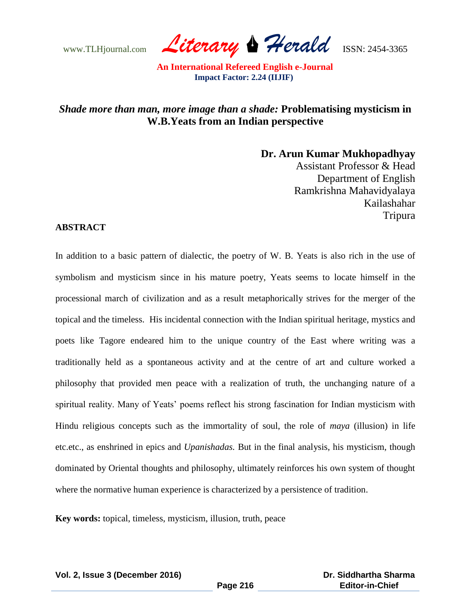www.TLHjournal.com *Literary Herald*ISSN: 2454-3365

## *Shade more than man, more image than a shade:* **Problematising mysticism in W.B.Yeats from an Indian perspective**

**Dr. Arun Kumar Mukhopadhyay**

Assistant Professor & Head Department of English Ramkrishna Mahavidyalaya Kailashahar Tripura

## **ABSTRACT**

In addition to a basic pattern of dialectic, the poetry of W. B. Yeats is also rich in the use of symbolism and mysticism since in his mature poetry, Yeats seems to locate himself in the processional march of civilization and as a result metaphorically strives for the merger of the topical and the timeless. His incidental connection with the Indian spiritual heritage, mystics and poets like Tagore endeared him to the unique country of the East where writing was a traditionally held as a spontaneous activity and at the centre of art and culture worked a philosophy that provided men peace with a realization of truth, the unchanging nature of a spiritual reality. Many of Yeats' poems reflect his strong fascination for Indian mysticism with Hindu religious concepts such as the immortality of soul, the role of *maya* (illusion) in life etc.etc., as enshrined in epics and *Upanishadas.* But in the final analysis, his mysticism, though dominated by Oriental thoughts and philosophy, ultimately reinforces his own system of thought where the normative human experience is characterized by a persistence of tradition.

**Key words:** topical, timeless, mysticism, illusion, truth, peace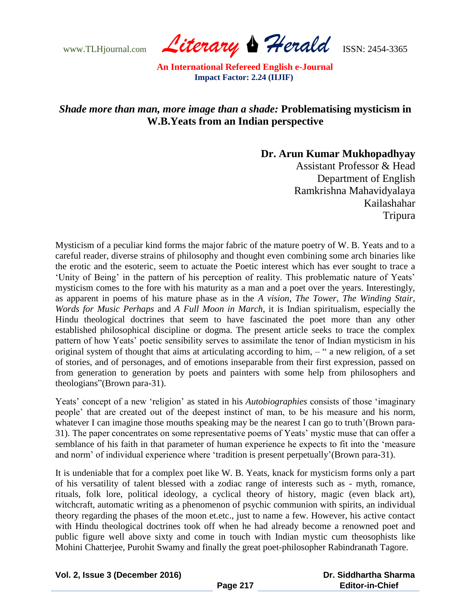www.TLHjournal.com *Literary Herald*ISSN: 2454-3365

## *Shade more than man, more image than a shade:* **Problematising mysticism in W.B.Yeats from an Indian perspective**

**Dr. Arun Kumar Mukhopadhyay**

Assistant Professor & Head Department of English Ramkrishna Mahavidyalaya Kailashahar Tripura

Mysticism of a peculiar kind forms the major fabric of the mature poetry of W. B. Yeats and to a careful reader, diverse strains of philosophy and thought even combining some arch binaries like the erotic and the esoteric, seem to actuate the Poetic interest which has ever sought to trace a 'Unity of Being' in the pattern of his perception of reality. This problematic nature of Yeats' mysticism comes to the fore with his maturity as a man and a poet over the years. Interestingly, as apparent in poems of his mature phase as in the *A vision*, *The Tower*, *The Winding Stair, Words for Music Perhaps* and *A Full Moon in March*, it is Indian spiritualism, especially the Hindu theological doctrines that seem to have fascinated the poet more than any other established philosophical discipline or dogma. The present article seeks to trace the complex pattern of how Yeats' poetic sensibility serves to assimilate the tenor of Indian mysticism in his original system of thought that aims at articulating according to him, – " a new religion, of a set of stories, and of personages, and of emotions inseparable from their first expression, passed on from generation to generation by poets and painters with some help from philosophers and theologians"(Brown para-31).

Yeats' concept of a new 'religion' as stated in his *Autobiographies* consists of those 'imaginary people" that are created out of the deepest instinct of man, to be his measure and his norm, whatever I can imagine those mouths speaking may be the nearest I can go to truth'(Brown para-31). The paper concentrates on some representative poems of Yeats" mystic muse that can offer a semblance of his faith in that parameter of human experience he expects to fit into the "measure and norm" of individual experience where "tradition is present perpetually"(Brown para-31).

It is undeniable that for a complex poet like W. B. Yeats, knack for mysticism forms only a part of his versatility of talent blessed with a zodiac range of interests such as - myth, romance, rituals, folk lore, political ideology, a cyclical theory of history, magic (even black art), witchcraft, automatic writing as a phenomenon of psychic communion with spirits, an individual theory regarding the phases of the moon et.etc., just to name a few. However, his active contact with Hindu theological doctrines took off when he had already become a renowned poet and public figure well above sixty and come in touch with Indian mystic cum theosophists like Mohini Chatterjee, Purohit Swamy and finally the great poet-philosopher Rabindranath Tagore.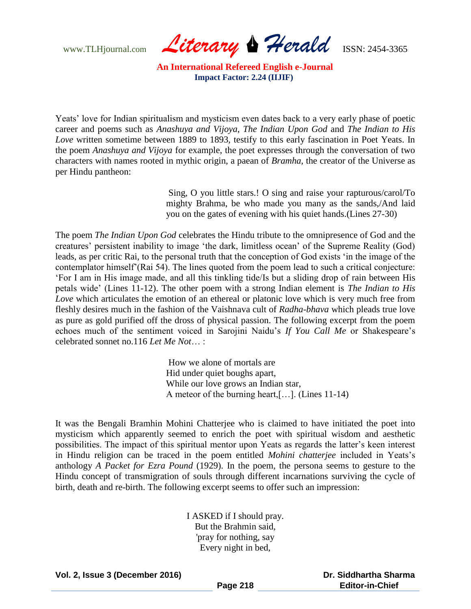www.TLHjournal.com *Literary Herald*ISSN: 2454-3365

Yeats" love for Indian spiritualism and mysticism even dates back to a very early phase of poetic career and poems such as *Anashuya and Vijoya*, *The Indian Upon God* and *The Indian to His Love* written sometime between 1889 to 1893, testify to this early fascination in Poet Yeats. In the poem *Anashuya and Vijoya* for example, the poet expresses through the conversation of two characters with names rooted in mythic origin, a paean of *Bramha*, the creator of the Universe as per Hindu pantheon:

> Sing, O you little stars.! O sing and raise your rapturous/carol/To mighty Brahma, be who made you many as the sands,/And laid you on the gates of evening with his quiet hands.(Lines 27-30)

The poem *The Indian Upon God* celebrates the Hindu tribute to the omnipresence of God and the creatures" persistent inability to image "the dark, limitless ocean" of the Supreme Reality (God) leads, as per critic Rai, to the personal truth that the conception of God exists "in the image of the contemplator himself"(Rai 54). The lines quoted from the poem lead to such a critical conjecture: "For I am in His image made, and all this tinkling tide/Is but a sliding drop of rain between His petals wide" (Lines 11-12). The other poem with a strong Indian element is *The Indian to His Love* which articulates the emotion of an ethereal or platonic love which is very much free from fleshly desires much in the fashion of the Vaishnava cult of *Radha-bhava* which pleads true love as pure as gold purified off the dross of physical passion. The following excerpt from the poem echoes much of the sentiment voiced in Sarojini Naidu's *If You Call Me* or Shakespeare's celebrated sonnet no.116 *Let Me Not*… :

> How we alone of mortals are Hid under quiet boughs apart, While our love grows an Indian star, A meteor of the burning heart,[…]. (Lines 11-14)

It was the Bengali Bramhin Mohini Chatterjee who is claimed to have initiated the poet into mysticism which apparently seemed to enrich the poet with spiritual wisdom and aesthetic possibilities. The impact of this spiritual mentor upon Yeats as regards the latter"s keen interest in Hindu religion can be traced in the poem entitled *Mohini chatterjee* included in Yeats"s anthology *A Packet for Ezra Pound* (1929). In the poem, the persona seems to gesture to the Hindu concept of transmigration of souls through different incarnations surviving the cycle of birth, death and re-birth. The following excerpt seems to offer such an impression:

> I ASKED if I should pray. But the Brahmin said, 'pray for nothing, say Every night in bed,

**Vol. 2, Issue 3 (December 2016)**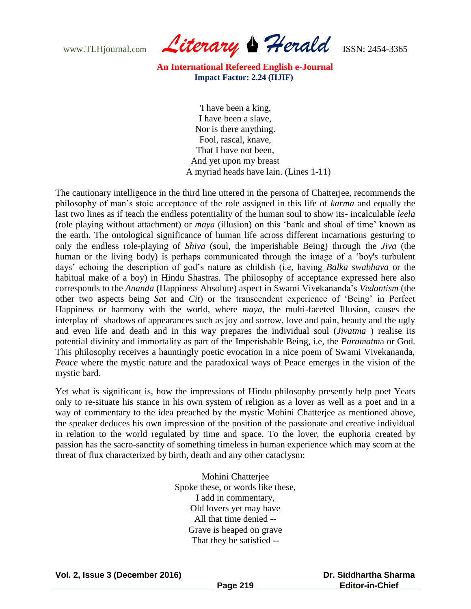www.TLHjournal.com *Literary Herald*ISSN: 2454-3365

> 'I have been a king, I have been a slave, Nor is there anything. Fool, rascal, knave, That I have not been, And yet upon my breast A myriad heads have lain. (Lines 1-11)

The cautionary intelligence in the third line uttered in the persona of Chatterjee, recommends the philosophy of man"s stoic acceptance of the role assigned in this life of *karma* and equally the last two lines as if teach the endless potentiality of the human soul to show its- incalculable *leela* (role playing without attachment) or *maya* (illusion) on this "bank and shoal of time" known as the earth. The ontological significance of human life across different incarnations gesturing to only the endless role-playing of *Shiva* (soul, the imperishable Being) through the *Jiva* (the human or the living body) is perhaps communicated through the image of a "boy's turbulent days" echoing the description of god"s nature as childish (i.e, having *Balka swabhava* or the habitual make of a boy) in Hindu Shastras. The philosophy of acceptance expressed here also corresponds to the *Ananda* (Happiness Absolute) aspect in Swami Vivekananda"s *Vedantism* (the other two aspects being *Sat* and *Cit*) or the transcendent experience of "Being" in Perfect Happiness or harmony with the world, where *maya*, the multi-faceted Illusion, causes the interplay of shadows of appearances such as joy and sorrow, love and pain, beauty and the ugly and even life and death and in this way prepares the individual soul (*Jivatma* ) realise its potential divinity and immortality as part of the Imperishable Being, i.e, the *Paramatm*a or God. This philosophy receives a hauntingly poetic evocation in a nice poem of Swami Vivekananda, *Peace* where the mystic nature and the paradoxical ways of Peace emerges in the vision of the mystic bard.

Yet what is significant is, how the impressions of Hindu philosophy presently help poet Yeats only to re-situate his stance in his own system of religion as a lover as well as a poet and in a way of commentary to the idea preached by the mystic Mohini Chatterjee as mentioned above, the speaker deduces his own impression of the position of the passionate and creative individual in relation to the world regulated by time and space. To the lover, the euphoria created by passion has the sacro-sanctity of something timeless in human experience which may scorn at the threat of flux characterized by birth, death and any other cataclysm:

> Mohini Chatterjee Spoke these, or words like these, I add in commentary, Old lovers yet may have All that time denied -- Grave is heaped on grave That they be satisfied --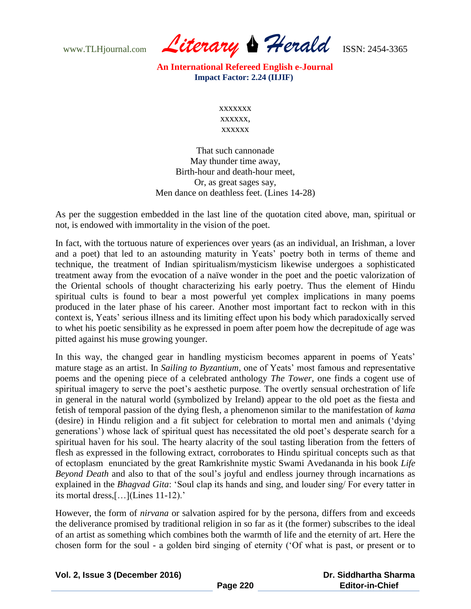www.TLHjournal.com *Literary Herald*ISSN: 2454-3365

> xxxxxxx xxxxxx, xxxxxx

That such cannonade May thunder time away, Birth-hour and death-hour meet, Or, as great sages say, Men dance on deathless feet. (Lines 14-28)

As per the suggestion embedded in the last line of the quotation cited above, man, spiritual or not, is endowed with immortality in the vision of the poet.

In fact, with the tortuous nature of experiences over years (as an individual, an Irishman, a lover and a poet) that led to an astounding maturity in Yeats' poetry both in terms of theme and technique, the treatment of Indian spiritualism/mysticism likewise undergoes a sophisticated treatment away from the evocation of a naïve wonder in the poet and the poetic valorization of the Oriental schools of thought characterizing his early poetry. Thus the element of Hindu spiritual cults is found to bear a most powerful yet complex implications in many poems produced in the later phase of his career. Another most important fact to reckon with in this context is, Yeats" serious illness and its limiting effect upon his body which paradoxically served to whet his poetic sensibility as he expressed in poem after poem how the decrepitude of age was pitted against his muse growing younger.

In this way, the changed gear in handling mysticism becomes apparent in poems of Yeats' mature stage as an artist. In *Sailing to Byzantium*, one of Yeats' most famous and representative poems and the opening piece of a celebrated anthology *The Tower,* one finds a cogent use of spiritual imagery to serve the poet's aesthetic purpose. The overtly sensual orchestration of life in general in the natural world (symbolized by Ireland) appear to the old poet as the fiesta and fetish of temporal passion of the dying flesh, a phenomenon similar to the manifestation of *kama* (desire) in Hindu religion and a fit subject for celebration to mortal men and animals ("dying generations') whose lack of spiritual quest has necessitated the old poet's desperate search for a spiritual haven for his soul. The hearty alacrity of the soul tasting liberation from the fetters of flesh as expressed in the following extract, corroborates to Hindu spiritual concepts such as that of ectoplasm enunciated by the great Ramkrishnite mystic Swami Avedananda in his book *Life Beyond Death* and also to that of the soul"s joyful and endless journey through incarnations as explained in the *Bhagvad Gita*: "Soul clap its hands and sing, and louder sing/ For every tatter in its mortal dress,  $[...]$ (Lines 11-12).'

However, the form of *nirvana* or salvation aspired for by the persona, differs from and exceeds the deliverance promised by traditional religion in so far as it (the former) subscribes to the ideal of an artist as something which combines both the warmth of life and the eternity of art. Here the chosen form for the soul - a golden bird singing of eternity ("Of what is past, or present or to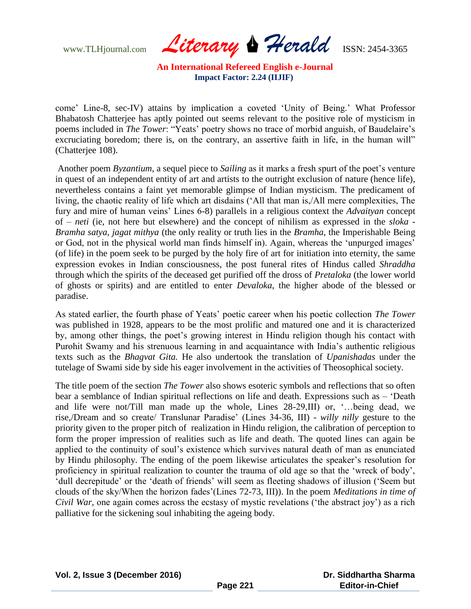www.TLHjournal.com *Literary Herald*ISSN: 2454-3365

come" Line-8, sec-IV) attains by implication a coveted "Unity of Being." What Professor Bhabatosh Chatterjee has aptly pointed out seems relevant to the positive role of mysticism in poems included in *The Tower*: "Yeats' poetry shows no trace of morbid anguish, of Baudelaire's excruciating boredom; there is, on the contrary, an assertive faith in life, in the human will" (Chatterjee 108).

Another poem *Byzantium*, a sequel piece to *Sailing* as it marks a fresh spurt of the poet's venture in quest of an independent entity of art and artists to the outright exclusion of nature (hence life), nevertheless contains a faint yet memorable glimpse of Indian mysticism. The predicament of living, the chaotic reality of life which art disdains ("All that man is,/All mere complexities, The fury and mire of human veins" Lines 6-8) parallels in a religious context the *Advaityan* concept of – *neti* (ie, not here but elsewhere) and the concept of nihilism as expressed in the *sloka* - *Bramha satya, jagat mithya* (the only reality or truth lies in the *Bramha*, the Imperishable Being or God, not in the physical world man finds himself in). Again, whereas the "unpurged images" (of life) in the poem seek to be purged by the holy fire of art for initiation into eternity, the same expression evokes in Indian consciousness, the post funeral rites of Hindus called *Shraddha* through which the spirits of the deceased get purified off the dross of *Pretaloka* (the lower world of ghosts or spirits) and are entitled to enter *Devaloka*, the higher abode of the blessed or paradise.

As stated earlier, the fourth phase of Yeats" poetic career when his poetic collection *The Tower* was published in 1928, appears to be the most prolific and matured one and it is characterized by, among other things, the poet"s growing interest in Hindu religion though his contact with Purohit Swamy and his strenuous learning in and acquaintance with India"s authentic religious texts such as the *Bhagvat Gita.* He also undertook the translation of *Upanishadas* under the tutelage of Swami side by side his eager involvement in the activities of Theosophical society.

The title poem of the section *The Tower* also shows esoteric symbols and reflections that so often bear a semblance of Indian spiritual reflections on life and death. Expressions such as – "Death and life were not/Till man made up the whole, Lines 28-29,III) or, "…being dead, we rise,/Dream and so create/ Translunar Paradise" (Lines 34-36, III) - *willy nilly* gesture to the priority given to the proper pitch of realization in Hindu religion, the calibration of perception to form the proper impression of realities such as life and death. The quoted lines can again be applied to the continuity of soul"s existence which survives natural death of man as enunciated by Hindu philosophy. The ending of the poem likewise articulates the speaker"s resolution for proficiency in spiritual realization to counter the trauma of old age so that the "wreck of body", "dull decrepitude" or the "death of friends" will seem as fleeting shadows of illusion ("Seem but clouds of the sky/When the horizon fades"(Lines 72-73, III)). In the poem *Meditations in time of Civil War*, one again comes across the ecstasy of mystic revelations ('the abstract joy') as a rich palliative for the sickening soul inhabiting the ageing body.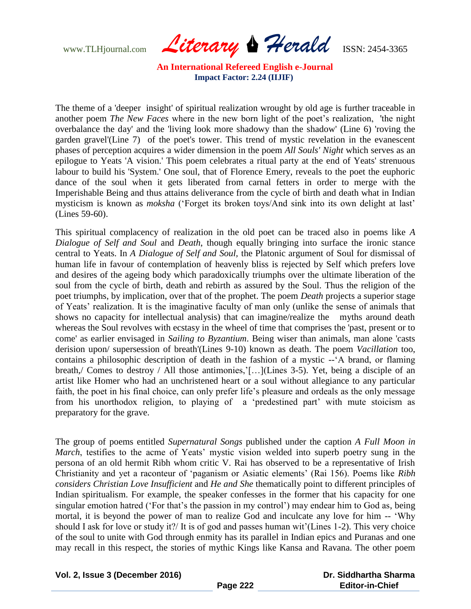www.TLHjournal.com *Literary Herald*ISSN: 2454-3365

The theme of a 'deeper insight' of spiritual realization wrought by old age is further traceable in another poem *The New Faces* where in the new born light of the poet's realization, 'the night overbalance the day' and the 'living look more shadowy than the shadow' (Line 6) 'roving the garden gravel'(Line 7) of the poet's tower. This trend of mystic revelation in the evanescent phases of perception acquires a wider dimension in the poem *All Souls' Night* which serves as an epilogue to Yeats 'A vision.' This poem celebrates a ritual party at the end of Yeats' strenuous labour to build his 'System.' One soul, that of Florence Emery, reveals to the poet the euphoric dance of the soul when it gets liberated from carnal fetters in order to merge with the Imperishable Being and thus attains deliverance from the cycle of birth and death what in Indian mysticism is known as *moksha* ("Forget its broken toys/And sink into its own delight at last" (Lines 59-60).

This spiritual complacency of realization in the old poet can be traced also in poems like *A Dialogue of Self and Soul* and *Death*, though equally bringing into surface the ironic stance central to Yeats. In *A Dialogue of Self and Soul,* the Platonic argument of Soul for dismissal of human life in favour of contemplation of heavenly bliss is rejected by Self which prefers love and desires of the ageing body which paradoxically triumphs over the ultimate liberation of the soul from the cycle of birth, death and rebirth as assured by the Soul. Thus the religion of the poet triumphs, by implication, over that of the prophet. The poem *Death* projects a superior stage of Yeats" realization. It is the imaginative faculty of man only (unlike the sense of animals that shows no capacity for intellectual analysis) that can imagine/realize the myths around death whereas the Soul revolves with ecstasy in the wheel of time that comprises the 'past, present or to come' as earlier envisaged in *Sailing to Byzantium*. Being wiser than animals, man alone 'casts derision upon/ supersession of breath'(Lines 9-10) known as death. The poem *Vacillation* too, contains a philosophic description of death in the fashion of a mystic --"A brand, or flaming breath,/ Comes to destroy / All those antimonies,"[…](Lines 3-5). Yet, being a disciple of an artist like Homer who had an unchristened heart or a soul without allegiance to any particular faith, the poet in his final choice, can only prefer life's pleasure and ordeals as the only message from his unorthodox religion, to playing of a "predestined part" with mute stoicism as preparatory for the grave.

The group of poems entitled *Supernatural Songs* published under the caption *A Full Moon in March*, testifies to the acme of Yeats' mystic vision welded into superb poetry sung in the persona of an old hermit Ribh whom critic V. Rai has observed to be a representative of Irish Christianity and yet a raconteur of "paganism or Asiatic elements" (Rai 156). Poems like *Ribh considers Christian Love Insufficient* and *He and She* thematically point to different principles of Indian spiritualism. For example, the speaker confesses in the former that his capacity for one singular emotion hatred ('For that's the passion in my control') may endear him to God as, being mortal, it is beyond the power of man to realize God and inculcate any love for him -- "Why should I ask for love or study it?/ It is of god and passes human wit"(Lines 1-2). This very choice of the soul to unite with God through enmity has its parallel in Indian epics and Puranas and one may recall in this respect, the stories of mythic Kings like Kansa and Ravana. The other poem

**Vol. 2, Issue 3 (December 2016)**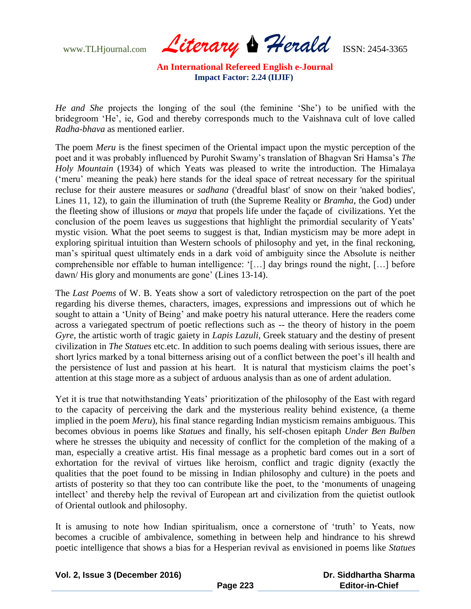www.TLHjournal.com *Literary Herald*ISSN: 2454-3365

*He and She* projects the longing of the soul (the feminine "She") to be unified with the bridegroom "He", ie, God and thereby corresponds much to the Vaishnava cult of love called *Radha-bhava* as mentioned earlier.

The poem *Meru* is the finest specimen of the Oriental impact upon the mystic perception of the poet and it was probably influenced by Purohit Swamy"s translation of Bhagvan Sri Hamsa"s *The Holy Mountain* (1934) of which Yeats was pleased to write the introduction. The Himalaya ("meru" meaning the peak) here stands for the ideal space of retreat necessary for the spiritual recluse for their austere measures or *sadhana* ('dreadful blast' of snow on their 'naked bodies', Lines 11, 12), to gain the illumination of truth (the Supreme Reality or *Bramha*, the God) under the fleeting show of illusions or *maya* that propels life under the façade of civilizations. Yet the conclusion of the poem leaves us suggestions that highlight the primordial secularity of Yeats' mystic vision. What the poet seems to suggest is that, Indian mysticism may be more adept in exploring spiritual intuition than Western schools of philosophy and yet, in the final reckoning, man"s spiritual quest ultimately ends in a dark void of ambiguity since the Absolute is neither comprehensible nor effable to human intelligence: "[…] day brings round the night, […] before dawn/His glory and monuments are gone' (Lines 13-14).

The *Last Poems* of W. B. Yeats show a sort of valedictory retrospection on the part of the poet regarding his diverse themes, characters, images, expressions and impressions out of which he sought to attain a 'Unity of Being' and make poetry his natural utterance. Here the readers come across a variegated spectrum of poetic reflections such as -- the theory of history in the poem *Gyre*, the artistic worth of tragic gaiety in *Lapis Lazuli*, Greek statuary and the destiny of present civilization in *The Statues* etc.etc. In addition to such poems dealing with serious issues, there are short lyrics marked by a tonal bitterness arising out of a conflict between the poet"s ill health and the persistence of lust and passion at his heart. It is natural that mysticism claims the poet"s attention at this stage more as a subject of arduous analysis than as one of ardent adulation.

Yet it is true that notwithstanding Yeats' prioritization of the philosophy of the East with regard to the capacity of perceiving the dark and the mysterious reality behind existence, (a theme implied in the poem *Meru*), his final stance regarding Indian mysticism remains ambiguous. This becomes obvious in poems like *Statues* and finally, his self-chosen epitaph *Under Ben Bulben* where he stresses the ubiquity and necessity of conflict for the completion of the making of a man, especially a creative artist. His final message as a prophetic bard comes out in a sort of exhortation for the revival of virtues like heroism, conflict and tragic dignity (exactly the qualities that the poet found to be missing in Indian philosophy and culture) in the poets and artists of posterity so that they too can contribute like the poet, to the "monuments of unageing intellect' and thereby help the revival of European art and civilization from the quietist outlook of Oriental outlook and philosophy.

It is amusing to note how Indian spiritualism, once a cornerstone of 'truth' to Yeats, now becomes a crucible of ambivalence, something in between help and hindrance to his shrewd poetic intelligence that shows a bias for a Hesperian revival as envisioned in poems like *Statues* 

| Vol. 2, Issue 3 (December 2016) |  |  |  |
|---------------------------------|--|--|--|
|---------------------------------|--|--|--|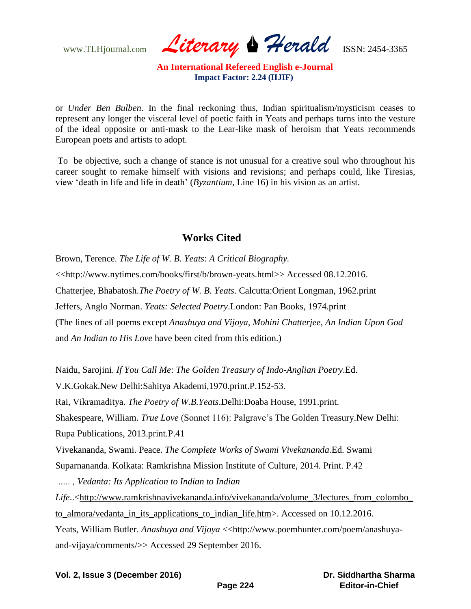www.TLHjournal.com *Literary Herald*ISSN: 2454-3365

or *Under Ben Bulben*. In the final reckoning thus, Indian spiritualism/mysticism ceases to represent any longer the visceral level of poetic faith in Yeats and perhaps turns into the vesture of the ideal opposite or anti-mask to the Lear-like mask of heroism that Yeats recommends European poets and artists to adopt.

To be objective, such a change of stance is not unusual for a creative soul who throughout his career sought to remake himself with visions and revisions; and perhaps could, like Tiresias, view "death in life and life in death" (*Byzantium*, Line 16) in his vision as an artist.

## **Works Cited**

Brown, Terence. *The Life of W. B. Yeats*: *A Critical Biography.* <<http://www.nytimes.com/books/first/b/brown-yeats.html>> Accessed 08.12.2016. Chatterjee, Bhabatosh.*The Poetry of W. B. Yeats*. Calcutta:Orient Longman, 1962.print Jeffers, Anglo Norman. *Yeats: Selected Poetry*.London: Pan Books, 1974.print (The lines of all poems except *Anashuya and Vijoya, Mohini Chatterjee, An Indian Upon God* and *An Indian to His Love* have been cited from this edition.)

Naidu, Sarojini. *If You Call Me*: *The Golden Treasury of Indo-Anglian Poetry*.Ed.

V.K.Gokak.New Delhi:Sahitya Akademi,1970.print.P.152-53.

Rai, Vikramaditya. *The Poetry of W.B.Yeats*.Delhi:Doaba House, 1991.print.

Shakespeare, William. *True Love* (Sonnet 116): Palgrave's The Golden Treasury. New Delhi: Rupa Publications, 2013.print.P.41

Vivekananda, Swami. Peace. *The Complete Works of Swami Vivekananda.*Ed. Swami

Suparnananda. Kolkata: Ramkrishna Mission Institute of Culture, 2014. Print. P.42

*….. , Vedanta: Its Application to Indian to Indian* 

Life..<http://www.ramkrishnavivekananda.info/vivekananda/volume\_3/lectures\_from\_colombo to\_almora/vedanta\_in\_its\_applications\_to\_indian\_life.htm>. Accessed on 10.12.2016.

Yeats, William Butler. *Anashuya and Vijoya* <<http://www.poemhunter.com/poem/anashuyaand-vijaya/comments/>> Accessed 29 September 2016.